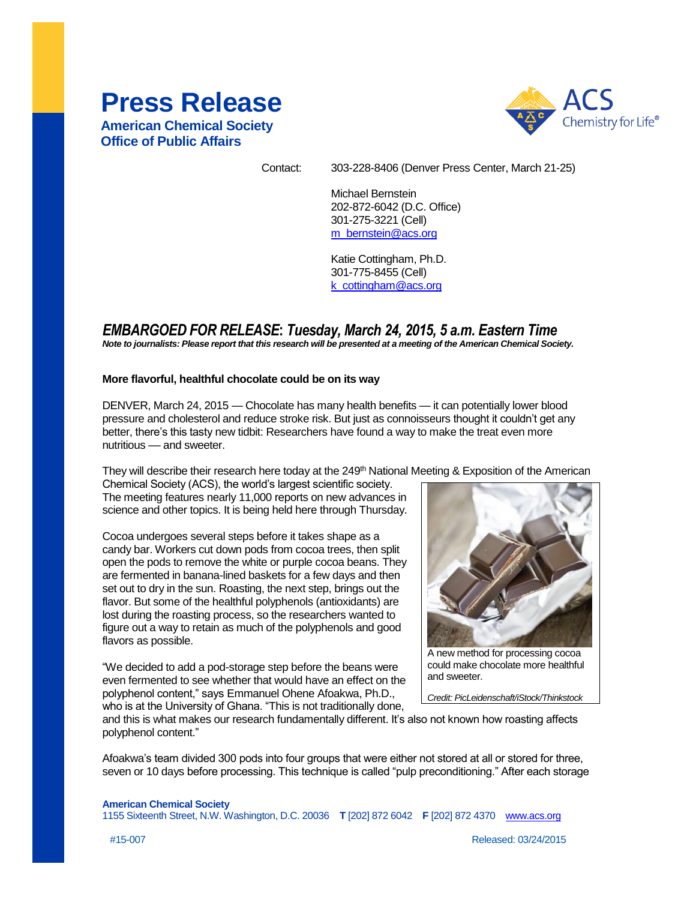# **Press Release**

**American Chemical Society Office of Public Affairs**



Contact: 303-228-8406 (Denver Press Center, March 21-25)

Michael Bernstein 202-872-6042 (D.C. Office) 301-275-3221 (Cell) [m\\_bernstein@acs.org](mailto:m_bernstein@acs.org)

Katie Cottingham, Ph.D. 301-775-8455 (Cell) [k\\_cottingham@acs.org](mailto:m_woods@acs.org)

# *EMBARGOED FOR RELEASE***:** *Tuesday, March 24, 2015, 5 a.m. Eastern Time*

*Note to journalists: Please report that this research will be presented at a meeting of the American Chemical Society.*

#### **More flavorful, healthful chocolate could be on its way**

DENVER, March 24, 2015 — Chocolate has many health benefits — it can potentially lower blood pressure and cholesterol and reduce stroke risk. But just as connoisseurs thought it couldn't get any better, there's this tasty new tidbit: Researchers have found a way to make the treat even more nutritious - and sweeter.

They will describe their research here today at the 249<sup>th</sup> National Meeting & Exposition of the American

Chemical Society (ACS), the world's largest scientific society. The meeting features nearly 11,000 reports on new advances in science and other topics. It is being held here through Thursday.

Cocoa undergoes several steps before it takes shape as a candy bar. Workers cut down pods from cocoa trees, then split open the pods to remove the white or purple cocoa beans. They are fermented in banana-lined baskets for a few days and then set out to dry in the sun. Roasting, the next step, brings out the flavor. But some of the healthful polyphenols (antioxidants) are lost during the roasting process, so the researchers wanted to figure out a way to retain as much of the polyphenols and good flavors as possible.

"We decided to add a pod-storage step before the beans were even fermented to see whether that would have an effect on the polyphenol content," says Emmanuel Ohene Afoakwa, Ph.D., who is at the University of Ghana. "This is not traditionally done,



A new method for processing cocoa could make chocolate more healthful and sweeter.

*Credit: PicLeidenschaft/iStock/Thinkstock*

and this is what makes our research fundamentally different. It's also not known how roasting affects polyphenol content."

Afoakwa's team divided 300 pods into four groups that were either not stored at all or stored for three, seven or 10 days before processing. This technique is called "pulp preconditioning." After each storage

**American Chemical Society** 1155 Sixteenth Street, N.W. Washington, D.C. 20036 **T** [202] 872 6042 **F** [202] 872 4370 [www.acs.org](http://www.acs.org/)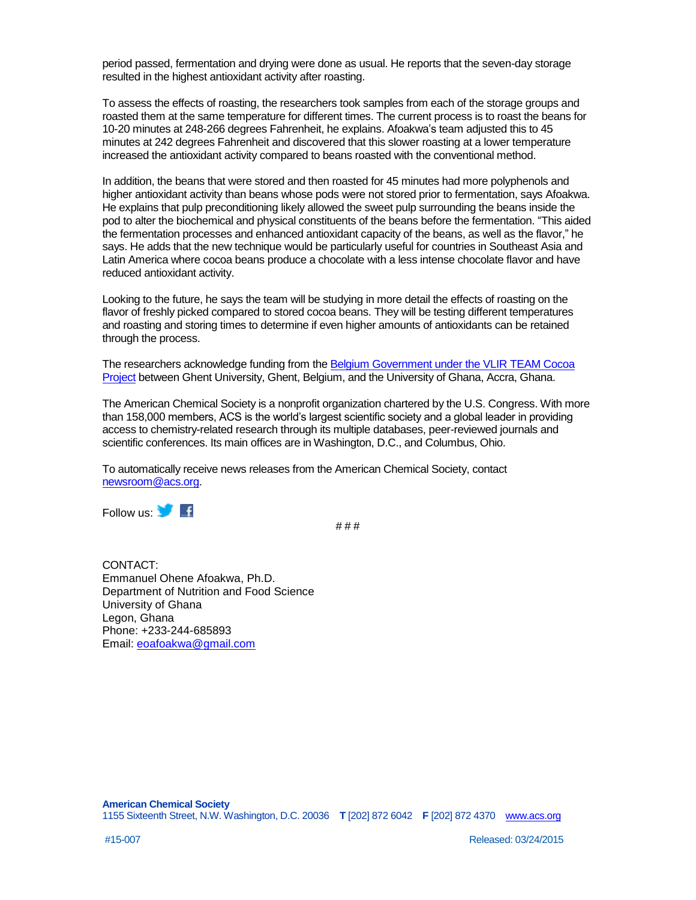period passed, fermentation and drying were done as usual. He reports that the seven-day storage resulted in the highest antioxidant activity after roasting.

To assess the effects of roasting, the researchers took samples from each of the storage groups and roasted them at the same temperature for different times. The current process is to roast the beans for 10-20 minutes at 248-266 degrees Fahrenheit, he explains. Afoakwa's team adjusted this to 45 minutes at 242 degrees Fahrenheit and discovered that this slower roasting at a lower temperature increased the antioxidant activity compared to beans roasted with the conventional method.

In addition, the beans that were stored and then roasted for 45 minutes had more polyphenols and higher antioxidant activity than beans whose pods were not stored prior to fermentation, says Afoakwa. He explains that pulp preconditioning likely allowed the sweet pulp surrounding the beans inside the pod to alter the biochemical and physical constituents of the beans before the fermentation. "This aided the fermentation processes and enhanced antioxidant capacity of the beans, as well as the flavor," he says. He adds that the new technique would be particularly useful for countries in Southeast Asia and Latin America where cocoa beans produce a chocolate with a less intense chocolate flavor and have reduced antioxidant activity.

Looking to the future, he says the team will be studying in more detail the effects of roasting on the flavor of freshly picked compared to stored cocoa beans. They will be testing different temperatures and roasting and storing times to determine if even higher amounts of antioxidants can be retained through the process.

The researchers acknowledge funding from the Belgium Government under the VLIR TEAM Cocoa [Project](http://www.vliruos.be/en/ongoing-projects/overview-of-ongoing-projects/team/sustaining-high-quality-cocoa-production-by-west-african-smallholder-farmers/) between Ghent University, Ghent, Belgium, and the University of Ghana, Accra, Ghana.

The American Chemical Society is a nonprofit organization chartered by the U.S. Congress. With more than 158,000 members, ACS is the world's largest scientific society and a global leader in providing access to chemistry-related research through its multiple databases, peer-reviewed journals and scientific conferences. Its main offices are in Washington, D.C., and Columbus, Ohio.

To automatically receive news releases from the American Chemical Society, contact [newsroom@acs.org.](mailto:newsroom@acs.org)

Follow us: **With** 

# # #

CONTACT: Emmanuel Ohene Afoakwa, Ph.D. Department of Nutrition and Food Science University of Ghana Legon, Ghana Phone: +233-244-685893 Email: [eoafoakwa@gmail.com](mailto:eoafoakwa@gmail.com)